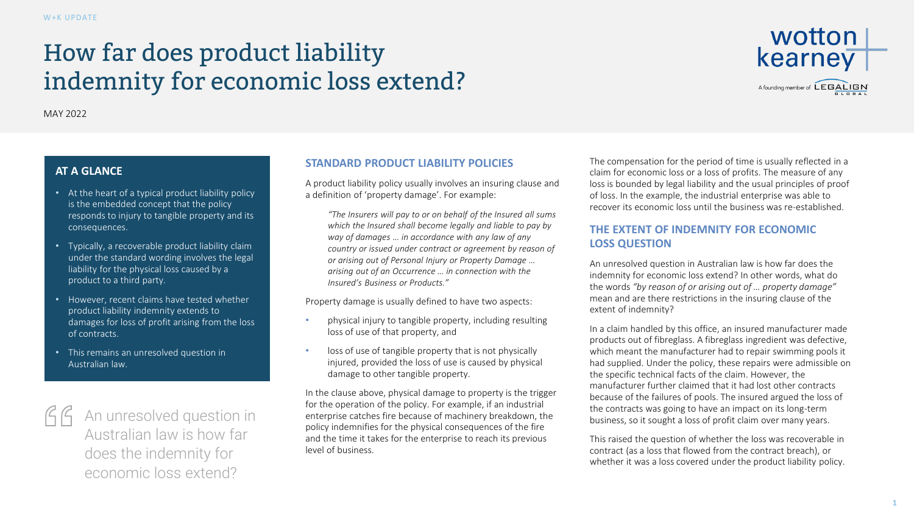# How far does product liability indemnity for economic loss extend?



MAY 2022

## **AT A GLANCE**

- At the heart of a typical product liability policy is the embedded concept that the policy responds to injury to tangible property and its consequences.
- Typically, a recoverable product liability claim under the standard wording involves the legal liability for the physical loss caused by a product to a third party.
- However, recent claims have tested whether product liability indemnity extends to damages for loss of profit arising from the loss of contracts.
- This remains an unresolved question in Australian law.



 $\int \int \int$  An unresolved question in Australian law is how far does the indemnity for economic loss extend?

## **STANDARD PRODUCT LIABILITY POLICIES**

A product liability policy usually involves an insuring clause and a definition of 'property damage'. For example:

*"The Insurers will pay to or on behalf of the Insured all sums which the Insured shall become legally and liable to pay by way of damages … in accordance with any law of any country or issued under contract or agreement by reason of or arising out of Personal Injury or Property Damage … arising out of an Occurrence … in connection with the Insured's Business or Products."*

Property damage is usually defined to have two aspects:

- physical injury to tangible property, including resulting loss of use of that property, and
- loss of use of tangible property that is not physically injured, provided the loss of use is caused by physical damage to other tangible property.

In the clause above, physical damage to property is the trigger for the operation of the policy. For example, if an industrial enterprise catches fire because of machinery breakdown, the policy indemnifies for the physical consequences of the fire and the time it takes for the enterprise to reach its previous level of business.

The compensation for the period of time is usually reflected in a claim for economic loss or a loss of profits. The measure of any loss is bounded by legal liability and the usual principles of proof of loss. In the example, the industrial enterprise was able to recover its economic loss until the business was re-established.

# **THE EXTENT OF INDEMNITY FOR ECONOMIC LOSS QUESTION**

An unresolved question in Australian law is how far does the indemnity for economic loss extend? In other words, what do the words *"by reason of or arising out of … property damage"* mean and are there restrictions in the insuring clause of the extent of indemnity?

In a claim handled by this office, an insured manufacturer made products out of fibreglass. A fibreglass ingredient was defective, which meant the manufacturer had to repair swimming pools it had supplied. Under the policy, these repairs were admissible on the specific technical facts of the claim. However, the manufacturer further claimed that it had lost other contracts because of the failures of pools. The insured argued the loss of the contracts was going to have an impact on its long-term business, so it sought a loss of profit claim over many years.

This raised the question of whether the loss was recoverable in contract (as a loss that flowed from the contract breach), or whether it was a loss covered under the product liability policy.